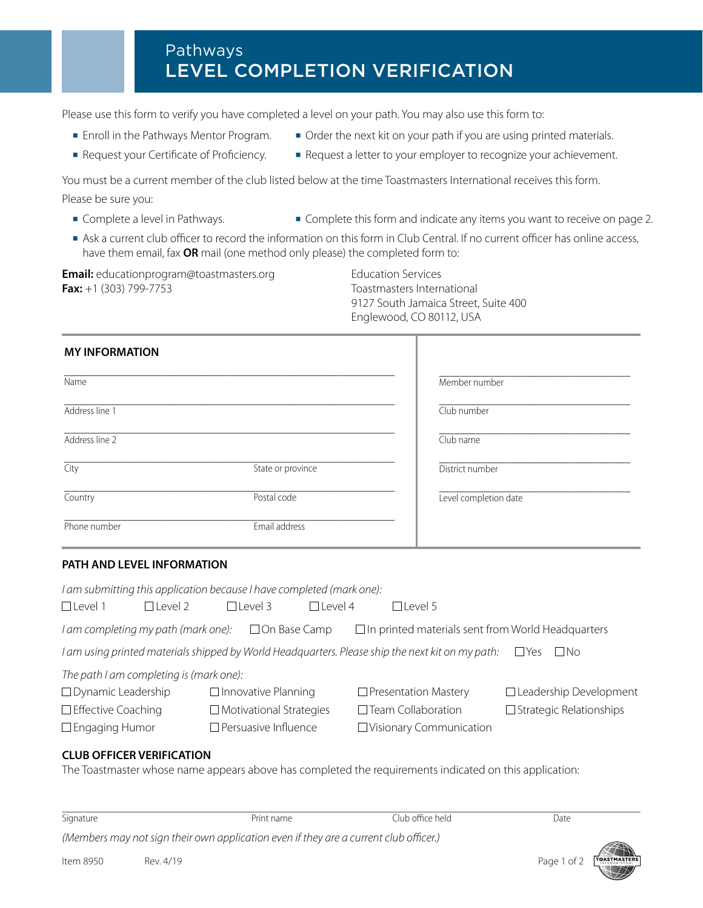# Pathways LEVEL COMPLETION VERIFICATION

Please use this form to verify you have completed a level on your path. You may also use this form to:

- **■** Enroll in the Pathways Mentor Program.
- **■** Request your Certificate of Proficiency.
- Order the next kit on your path if you are using printed materials.
- **■** Request a letter to your employer to recognize your achievement.

You must be a current member of the club listed below at the time Toastmasters International receives this form. Please be sure you:

- **■** Complete a level in Pathways.
- **■** Complete this form and indicate any items you want to receive on page 2.
- **■** Ask a current club officer to record the information on this form in Club Central. If no current officer has online access, have them email, fax **OR** mail (one method only please) the completed form to:

**Email:** educationprogram@toastmasters.org Education Services **Fax:** +1 (303) 799-7753 Toastmasters International

 9127 South Jamaica Street, Suite 400 Englewood, CO 80112, USA

# **MY INFORMATION**

| Name           |                   | Member number         |
|----------------|-------------------|-----------------------|
| Address line 1 |                   | Club number           |
| Address line 2 |                   | Club name             |
| City           | State or province | District number       |
| Country        | Postal code       | Level completion date |
| Phone number   | Email address     |                       |

## **PATH AND LEVEL INFORMATION**

| I am submitting this application because I have completed (mark one): |                |                                |          |                                                                                                  |                                |  |  |
|-----------------------------------------------------------------------|----------------|--------------------------------|----------|--------------------------------------------------------------------------------------------------|--------------------------------|--|--|
| $\Box$ Level 1                                                        | $\Box$ Level 2 | $\Box$ Level 3                 | TLevel 4 | $\Box$ l evel 5                                                                                  |                                |  |  |
| I am completing my path (mark one):                                   |                | $\Box$ On Base Camp            |          | $\Box$ In printed materials sent from World Headquarters                                         |                                |  |  |
|                                                                       |                |                                |          | I am using printed materials shipped by World Headquarters. Please ship the next kit on my path: | $\Box$ Yes<br>– I No           |  |  |
| The path I am completing is (mark one):                               |                |                                |          |                                                                                                  |                                |  |  |
| $\Box$ Dynamic Leadership                                             |                | $\Box$ Innovative Planning     |          | $\Box$ Presentation Mastery                                                                      | $\Box$ Leadership Development  |  |  |
| $\Box$ Effective Coaching                                             |                | $\Box$ Motivational Strategies |          | $\Box$ Team Collaboration                                                                        | $\Box$ Strategic Relationships |  |  |
| $\Box$ Engaging Humor                                                 |                | $\Box$ Persuasive Influence    |          | $\Box$ Visionary Communication                                                                   |                                |  |  |

# **CLUB OFFICER VERIFICATION**

The Toastmaster whose name appears above has completed the requirements indicated on this application:

| Signature                                                                             | Print name | Club office held . | Date |  |
|---------------------------------------------------------------------------------------|------------|--------------------|------|--|
| (Members may not sign their own application even if they are a current club officer.) | <b>APA</b> |                    |      |  |